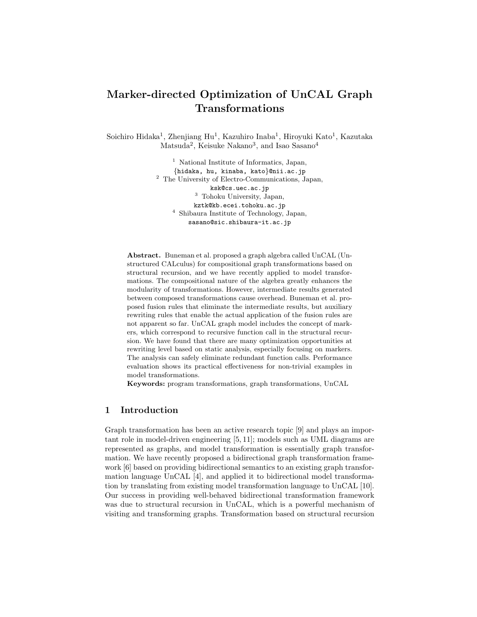# **Marker-directed Optimization of UnCAL Graph Transformations**

Soichiro Hidaka<sup>1</sup>, Zhenjiang Hu<sup>1</sup>, Kazuhiro Inaba<sup>1</sup>, Hiroyuki Kato<sup>1</sup>, Kazutaka Matsuda<sup>2</sup>, Keisuke Nakano<sup>3</sup>, and Isao Sasano<sup>4</sup>

> <sup>1</sup> National Institute of Informatics, Japan, *{*hidaka, hu, kinaba, kato*}*@nii.ac.jp <sup>2</sup> The University of Electro-Communications, Japan, ksk@cs.uec.ac.jp <sup>3</sup> Tohoku University, Japan, kztk@kb.ecei.tohoku.ac.jp <sup>4</sup> Shibaura Institute of Technology, Japan, sasano@sic.shibaura-it.ac.jp

**Abstract.** Buneman et al. proposed a graph algebra called UnCAL (Unstructured CALculus) for compositional graph transformations based on structural recursion, and we have recently applied to model transformations. The compositional nature of the algebra greatly enhances the modularity of transformations. However, intermediate results generated between composed transformations cause overhead. Buneman et al. proposed fusion rules that eliminate the intermediate results, but auxiliary rewriting rules that enable the actual application of the fusion rules are not apparent so far. UnCAL graph model includes the concept of markers, which correspond to recursive function call in the structural recursion. We have found that there are many optimization opportunities at rewriting level based on static analysis, especially focusing on markers. The analysis can safely eliminate redundant function calls. Performance evaluation shows its practical effectiveness for non-trivial examples in model transformations.

**Keywords:** program transformations, graph transformations, UnCAL

# **1 Introduction**

Graph transformation has been an active research topic [9] and plays an important role in model-driven engineering [5, 11]; models such as UML diagrams are represented as graphs, and model transformation is essentially graph transformation. We have recently proposed a bidirectional graph transformation framework [6] based on providing bidirectional semantics to an existing graph transformation language UnCAL [4], and applied it to bidirectional model transformation by translating from existing model transformation language to UnCAL [10]. Our success in providing well-behaved bidirectional transformation framework was due to structural recursion in UnCAL, which is a powerful mechanism of visiting and transforming graphs. Transformation based on structural recursion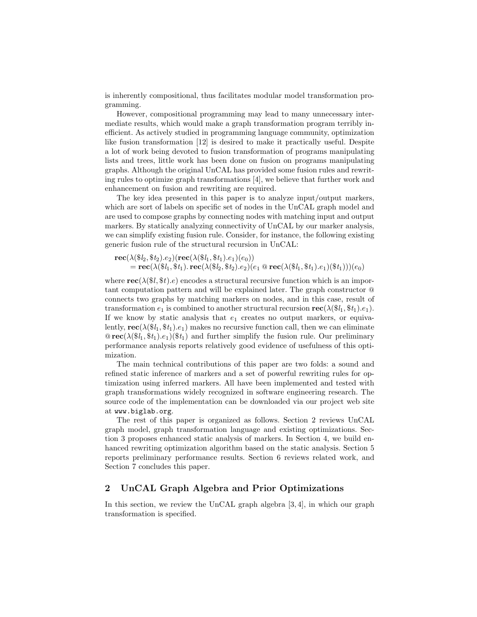is inherently compositional, thus facilitates modular model transformation programming.

However, compositional programming may lead to many unnecessary intermediate results, which would make a graph transformation program terribly inefficient. As actively studied in programming language community, optimization like fusion transformation [12] is desired to make it practically useful. Despite a lot of work being devoted to fusion transformation of programs manipulating lists and trees, little work has been done on fusion on programs manipulating graphs. Although the original UnCAL has provided some fusion rules and rewriting rules to optimize graph transformations [4], we believe that further work and enhancement on fusion and rewriting are required.

The key idea presented in this paper is to analyze input/output markers, which are sort of labels on specific set of nodes in the UnCAL graph model and are used to compose graphs by connecting nodes with matching input and output markers. By statically analyzing connectivity of UnCAL by our marker analysis, we can simplify existing fusion rule. Consider, for instance, the following existing generic fusion rule of the structural recursion in UnCAL:

 $\text{rec}(\lambda(\$l_2, \$t_2).e_2)(\text{rec}(\lambda(\$l_1, \$t_1).e_1)(e_0))$  $=$  **rec**( $\lambda$ ( $\$\iota_1, \$\iota_1)$ *.* **rec**( $\lambda$ ( $\$\iota_2, \$\iota_2)$ *.e*<sub>2</sub>)( $e_1 \otimes$  **rec**( $\lambda$ ( $\$\iota_1, \$\iota_1)$ *.e*<sub>1</sub>)( $\$\iota_1$ ))( $e_0$ )

where  $\text{rec}(\lambda(\$l, \$t).e)$  encodes a structural recursive function which is an important computation pattern and will be explained later. The graph constructor @ connects two graphs by matching markers on nodes, and in this case, result of transformation  $e_1$  is combined to another structural recursion  $\text{rec}(\lambda(\$\iota_1, \$\iota_1)$ *.e*<sub>1</sub>). If we know by static analysis that  $e_1$  creates no output markers, or equivalently,  $\text{rec}(\lambda(\$\mathbf{i}_1, \$\mathbf{t}_1).e_1)$  makes no recursive function call, then we can eliminate  $\mathcal{Q}$  **rec**( $\lambda(\$i_1, \$t_1).e_1$ )( $\$t_1$ ) and further simplify the fusion rule. Our preliminary performance analysis reports relatively good evidence of usefulness of this optimization.

The main technical contributions of this paper are two folds: a sound and refined static inference of markers and a set of powerful rewriting rules for optimization using inferred markers. All have been implemented and tested with graph transformations widely recognized in software engineering research. The source code of the implementation can be downloaded via our project web site at www.biglab.org.

The rest of this paper is organized as follows. Section 2 reviews UnCAL graph model, graph transformation language and existing optimizations. Section 3 proposes enhanced static analysis of markers. In Section 4, we build enhanced rewriting optimization algorithm based on the static analysis. Section 5 reports preliminary performance results. Section 6 reviews related work, and Section 7 concludes this paper.

# **2 UnCAL Graph Algebra and Prior Optimizations**

In this section, we review the UnCAL graph algebra [3, 4], in which our graph transformation is specified.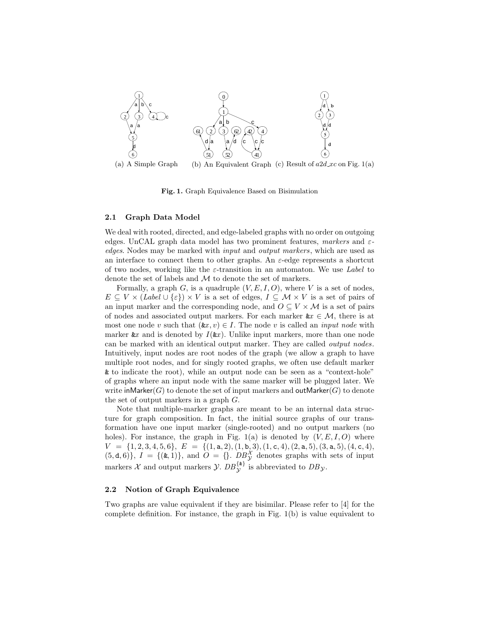

**Fig. 1.** Graph Equivalence Based on Bisimulation

### **2.1 Graph Data Model**

We deal with rooted, directed, and edge-labeled graphs with no order on outgoing edges. UnCAL graph data model has two prominent features, *markers* and *εedges*. Nodes may be marked with *input* and *output markers*, which are used as an interface to connect them to other graphs. An *ε*-edge represents a shortcut of two nodes, working like the *ε*-transition in an automaton. We use *Label* to denote the set of labels and *M* to denote the set of markers.

Formally, a graph *G*, is a quadruple  $(V, E, I, O)$ , where *V* is a set of nodes,  $E \subseteq V \times (Label \cup \{\varepsilon\}) \times V$  is a set of edges,  $I \subseteq \mathcal{M} \times V$  is a set of pairs of an input marker and the corresponding node, and  $O \subseteq V \times M$  is a set of pairs of nodes and associated output markers. For each marker  $\&x \in \mathcal{M}$ , there is at most one node *v* such that  $(\& x, v) \in I$ . The node *v* is called an *input node* with marker  $\&x$  and is denoted by  $I(\&x)$ . Unlike input markers, more than one node can be marked with an identical output marker. They are called *output nodes*. Intuitively, input nodes are root nodes of the graph (we allow a graph to have multiple root nodes, and for singly rooted graphs, we often use default marker & to indicate the root), while an output node can be seen as a "context-hole" of graphs where an input node with the same marker will be plugged later. We write inMarker $(G)$  to denote the set of input markers and outMarker $(G)$  to denote the set of output markers in a graph *G*.

Note that multiple-marker graphs are meant to be an internal data structure for graph composition. In fact, the initial source graphs of our transformation have one input marker (single-rooted) and no output markers (no holes). For instance, the graph in Fig.  $1(a)$  is denoted by  $(V, E, I, O)$  where  $V = \{1, 2, 3, 4, 5, 6\}, E = \{(1, a, 2), (1, b, 3), (1, c, 4), (2, a, 5), (3, a, 5), (4, c, 4),$  $(5, d, 6)$ ,  $I = \{(\&, 1)\}\$ , and  $O = \{\}\$ .  $DB_{\mathcal{Y}}^{\mathcal{X}}$  denotes graphs with sets of input markers *X* and output markers *Y*.  $DB_{\mathcal{Y}}^{\{k\}}$  is abbreviated to  $DB_{\mathcal{Y}}$ .

## **2.2 Notion of Graph Equivalence**

Two graphs are value equivalent if they are bisimilar. Please refer to [4] for the complete definition. For instance, the graph in Fig. 1(b) is value equivalent to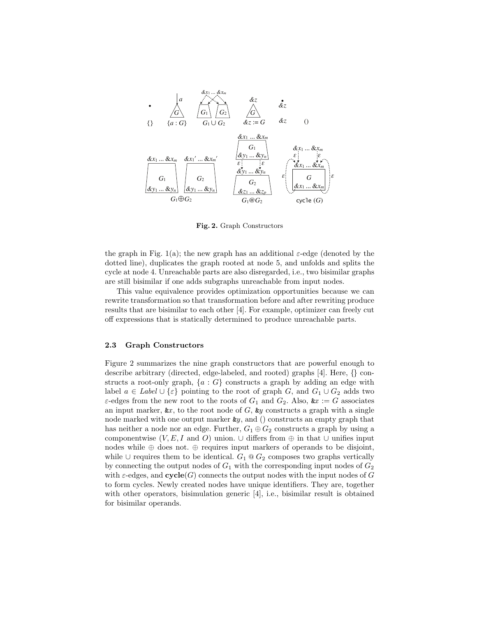

**Fig. 2.** Graph Constructors

the graph in Fig. 1(a); the new graph has an additional  $\varepsilon$ -edge (denoted by the dotted line), duplicates the graph rooted at node 5, and unfolds and splits the cycle at node 4. Unreachable parts are also disregarded, i.e., two bisimilar graphs are still bisimilar if one adds subgraphs unreachable from input nodes.

This value equivalence provides optimization opportunities because we can rewrite transformation so that transformation before and after rewriting produce results that are bisimilar to each other [4]. For example, optimizer can freely cut off expressions that is statically determined to produce unreachable parts.

#### **2.3 Graph Constructors**

Figure 2 summarizes the nine graph constructors that are powerful enough to describe arbitrary (directed, edge-labeled, and rooted) graphs [4]. Here, *{}* constructs a root-only graph, *{a* : *G}* constructs a graph by adding an edge with label *a* ∈ *Label*  $\cup$  { $\varepsilon$ } pointing to the root of graph *G*, and *G*<sub>1</sub>  $\cup$  *G*<sub>2</sub> adds two *ε*-edges from the new root to the roots of  $G_1$  and  $G_2$ . Also,  $kx := G$  associates an input marker,  $\&x$ , to the root node of *G*,  $\&y$  constructs a graph with a single node marked with one output marker &*y*, and () constructs an empty graph that has neither a node nor an edge. Further,  $G_1 \oplus G_2$  constructs a graph by using a componentwise  $(V, E, I \text{ and } O)$  union.  $\cup$  differs from  $\oplus$  in that  $\cup$  unifies input nodes while  $\oplus$  does not.  $\oplus$  requires input markers of operands to be disjoint, while  $∪$  requires them to be identical.  $G_1 \tQ G_2$  composes two graphs vertically by connecting the output nodes of  $G_1$  with the corresponding input nodes of  $G_2$ with  $\varepsilon$ -edges, and  $\mathbf{cycle}(G)$  connects the output nodes with the input nodes of *G* to form cycles. Newly created nodes have unique identifiers. They are, together with other operators, bisimulation generic [4], i.e., bisimilar result is obtained for bisimilar operands.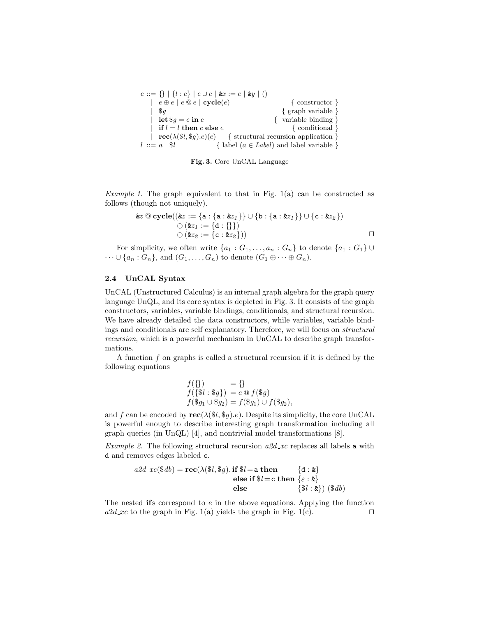| $e ::= \{\}\, \,\{l : e\} \, \, e \cup e \, \, \& x := e \, \, \& y \, \,()\}$ |                                              |
|--------------------------------------------------------------------------------|----------------------------------------------|
| $e \oplus e \mid e \otimes e \mid \text{cycle}(e)$                             | $\{ \text{ constructor} \}$                  |
| $\$a$                                                                          | $\{$ graph variable $\}$                     |
| $\text{let }$ \$q = e in e                                                     | { variable binding }                         |
| if $l = l$ then $e$ else $e$                                                   | $\{$ conditional $\}$                        |
| $\mathbf{rec}(\lambda(\$l, \$g).e)(e)$ { structural recursion application }    |                                              |
| $l := a \,   \, \$l$                                                           | { label $(a \in Label)$ and label variable } |

**Fig. 3.** Core UnCAL Language

*Example 1.* The graph equivalent to that in Fig. 1(a) can be constructed as follows (though not uniquely).

$$
\&z \ @\ \mathbf{cycle}((\&z := \{a : \{a : \&z_1\}\} \cup \{b : \{a : \&z_1\}\} \cup \{c : \&z_2\}) \\
\quad \qquad \oplus (\&z_1 := \{d : \{\}\}) \\
\quad \qquad \oplus (\&z_2 := \{c : \&z_2\}))
$$

For simplicity, we often write  $\{a_1 : G_1, \ldots, a_n : G_n\}$  to denote  $\{a_1 : G_1\}$  $\dots \cup \{a_n : G_n\}$ , and  $(G_1, \dots, G_n)$  to denote  $(G_1 \oplus \dots \oplus G_n)$ .

# **2.4 UnCAL Syntax**

UnCAL (Unstructured Calculus) is an internal graph algebra for the graph query language UnQL, and its core syntax is depicted in Fig. 3. It consists of the graph constructors, variables, variable bindings, conditionals, and structural recursion. We have already detailed the data constructors, while variables, variable bindings and conditionals are self explanatory. Therefore, we will focus on *structural recursion*, which is a powerful mechanism in UnCAL to describe graph transformations.

A function *f* on graphs is called a structural recursion if it is defined by the following equations

$$
f(\{\}) = \{\}f(\{\$l : \$g\}) = e \circledcirc f(\$g)f(\$g_1 \cup \$g_2) = f(\$g_1) \cup f(\$g_2),
$$

and *f* can be encoded by **rec**( $\lambda$ ( $\mathcal{I}, \mathcal{I}, g$ )*.e*). Despite its simplicity, the core UnCAL is powerful enough to describe interesting graph transformation including all graph queries (in UnQL) [4], and nontrivial model transformations [8].

*Example 2.* The following structural recursion *a2d xc* replaces all labels a with d and removes edges labeled c.

$$
a2d_xc(\$db) = \text{rec}(\lambda(\$l, \$g). \text{if } \$l = \text{a then} \qquad \{d : \&\}
$$
  
else if  $\$l = c \text{ then } \{\varepsilon : \&\}$   
else  $\{\$l : \&\}$ ) ( $\$db$ )

The nested **if**s correspond to *e* in the above equations. Applying the function  $a2d$  *xc* to the graph in Fig. 1(a) yields the graph in Fig. 1(c).  $\Box$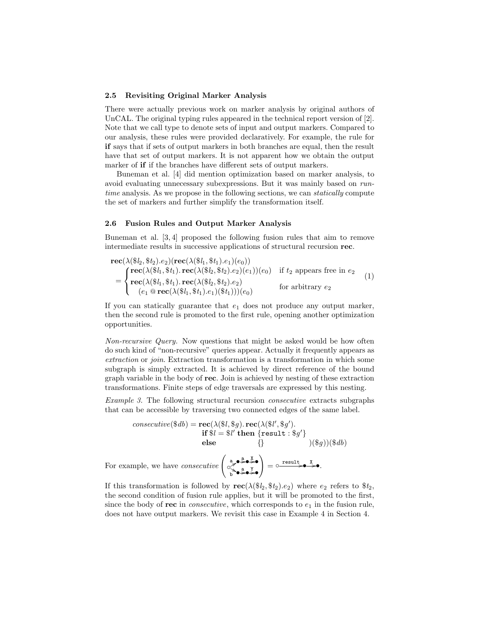## **2.5 Revisiting Original Marker Analysis**

There were actually previous work on marker analysis by original authors of UnCAL. The original typing rules appeared in the technical report version of [2]. Note that we call type to denote sets of input and output markers. Compared to our analysis, these rules were provided declaratively. For example, the rule for **if** says that if sets of output markers in both branches are equal, then the result have that set of output markers. It is not apparent how we obtain the output marker of **if** if the branches have different sets of output markers.

Buneman et al. [4] did mention optimization based on marker analysis, to avoid evaluating unnecessary subexpressions. But it was mainly based on *runtime* analysis. As we propose in the following sections, we can *statically* compute the set of markers and further simplify the transformation itself.

#### **2.6 Fusion Rules and Output Marker Analysis**

Buneman et al. [3, 4] proposed the following fusion rules that aim to remove intermediate results in successive applications of structural recursion **rec**.

$$
\begin{aligned}\n\text{rec}(\lambda(\$\mathbf{l}_2, \$\mathbf{t}_2).e_2)(\text{rec}(\lambda(\$\mathbf{l}_1, \$\mathbf{t}_1).e_1)(e_0)) \\
&= \begin{cases}\n\text{rec}(\lambda(\$\mathbf{l}_1, \$\mathbf{t}_1). \text{rec}(\lambda(\$\mathbf{l}_2, \$\mathbf{t}_2).e_2)(e_1))(e_0) & \text{if } \mathbf{t}_2 \text{ appears free in } e_2 \\
\text{rec}(\lambda(\$\mathbf{l}_1, \$\mathbf{t}_1). \text{rec}(\lambda(\$\mathbf{l}_2, \$\mathbf{t}_2).e_2) & \text{for arbitrary } e_2\n\end{cases}\n\end{aligned} \tag{1}
$$

If you can statically guarantee that *e*<sup>1</sup> does not produce any output marker, then the second rule is promoted to the first rule, opening another optimization opportunities.

*Non-recursive Query.* Now questions that might be asked would be how often do such kind of "non-recursive" queries appear. Actually it frequently appears as *extraction* or *join*. Extraction transformation is a transformation in which some subgraph is simply extracted. It is achieved by direct reference of the bound graph variable in the body of **rec**. Join is achieved by nesting of these extraction transformations. Finite steps of edge traversals are expressed by this nesting.

*Example 3.* The following structural recursion *consecutive* extracts subgraphs that can be accessible by traversing two connected edges of the same label.

consecutive(
$$
\$db
$$
) =  $\text{rec}(\lambda(\$l, \$g)$ .  $\text{rec}(\lambda(\$l', \$g')$ ).  
\nif  $\$l = \$l'$  then {result :  $\$g'\}$   
\nelse  $\{\}$  (§g))( $\$db$ )  
\nFor example, we have *consecutive*  $\left(\underset{b \to \$e\}}{\overset{a}{\sim}e\underset{b \to \$e\}}\overset{a}{\leadsto}e\right) = \circ \underset{c}{\overset{result}{\sim}e\underset{b \to \$e\}}\overset{X}{\leadsto}e}$ .

If this transformation is followed by  $\text{rec}(\lambda(\$\ell_2, \$t_2).e_2)$  where  $e_2$  refers to  $\$\ell_2$ , the second condition of fusion rule applies, but it will be promoted to the first, since the body of **rec** in *consecutive*, which corresponds to  $e_1$  in the fusion rule, does not have output markers. We revisit this case in Example 4 in Section 4.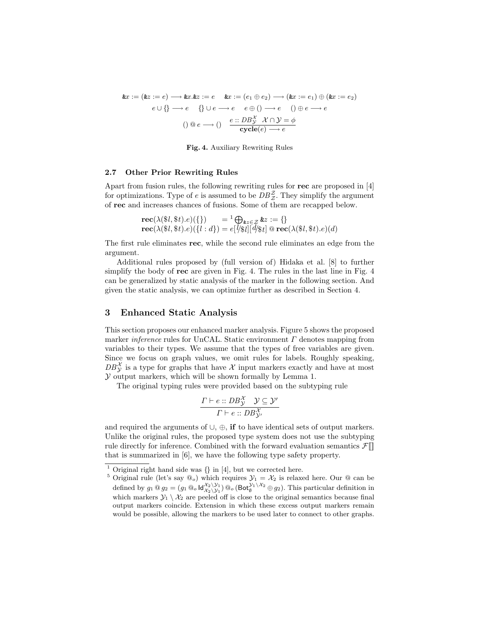$$
\&x := (\&z := e) \longrightarrow \&x.\&z := e \quad \&x := (e_1 \oplus e_2) \longrightarrow (\&x := e_1) \oplus (\&x := e_2)
$$

$$
e \cup \{\} \longrightarrow e \quad \{\} \cup e \longrightarrow e \quad e \oplus () \longrightarrow e \quad () \oplus e \longrightarrow e
$$

$$
() \circledcirc e \longrightarrow () \quad \frac{e :: DB_Y^X \quad \mathcal{X} \cap \mathcal{Y} = \phi}{\text{cycle}(e) \longrightarrow e}
$$



## **2.7 Other Prior Rewriting Rules**

Apart from fusion rules, the following rewriting rules for **rec** are proposed in [4] for optimizations. Type of *e* is assumed to be  $DB^{\mathcal{Z}}_{\mathcal{Z}}$ . They simplify the argument of **rec** and increases chances of fusions. Some of them are recapped below.

$$
\mathbf{rec}(\lambda(\$l, \$t).e)(\{\}) = \{1 \bigoplus_{\& z \in \mathcal{Z}} \& z := \{\}\n\mathbf{rec}(\lambda(\$l, \$t).e)(\{l : d\}) = e[\forall \$l][d\$t] \odot \mathbf{rec}(\lambda(\$l, \$t).e)(d)
$$

The first rule eliminates **rec**, while the second rule eliminates an edge from the argument.

Additional rules proposed by (full version of) Hidaka et al. [8] to further simplify the body of **rec** are given in Fig. 4. The rules in the last line in Fig. 4 can be generalized by static analysis of the marker in the following section. And given the static analysis, we can optimize further as described in Section 4.

# **3 Enhanced Static Analysis**

This section proposes our enhanced marker analysis. Figure 5 shows the proposed marker *inference* rules for UnCAL. Static environment *Γ* denotes mapping from variables to their types. We assume that the types of free variables are given. Since we focus on graph values, we omit rules for labels. Roughly speaking,  $DB^{\mathcal{X}}_{\mathcal{Y}}$  is a type for graphs that have  $\mathcal{X}$  input markers exactly and have at most *Y* output markers, which will be shown formally by Lemma 1.

The original typing rules were provided based on the subtyping rule

$$
\frac{\Gamma \vdash e::DB^{\mathcal{X}}_{\mathcal{Y}} \quad \mathcal{Y} \subseteq \mathcal{Y}'}{\Gamma \vdash e::DB^{\mathcal{X}}_{\mathcal{Y}'}}
$$

and required the arguments of *∪*, *⊕*, **if** to have identical sets of output markers. Unlike the original rules, the proposed type system does not use the subtyping rule directly for inference. Combined with the forward evaluation semantics  $\mathcal{F}[\mathbb{I}]$ that is summarized in [6], we have the following type safety property.

<sup>1</sup> Original right hand side was *{}* in [4], but we corrected here.

<sup>&</sup>lt;sup>5</sup> Original rule (let's say  $\mathcal{Q}_o$ ) which requires  $\mathcal{Y}_1 = \mathcal{X}_2$  is relaxed here. Our  $\mathcal{Q}$  can be defined by  $g_1 \tQg_2 = (g_1 \tQ_o \mathsf{Id}_{\mathcal{X}_2 \setminus \mathcal{Y}_1}^{\mathcal{X}_2 \setminus \mathcal{Y}_1}) \tQ_o \left( \mathsf{Bot}_{\emptyset}^{\mathcal{Y}_1 \setminus \mathcal{X}_2} \oplus g_2 \right)$ . This particular definition in which markers  $\mathcal{Y}_1 \setminus \mathcal{X}_2$  are peeled off is close to the original semantics because final output markers coincide. Extension in which these excess output markers remain would be possible, allowing the markers to be used later to connect to other graphs.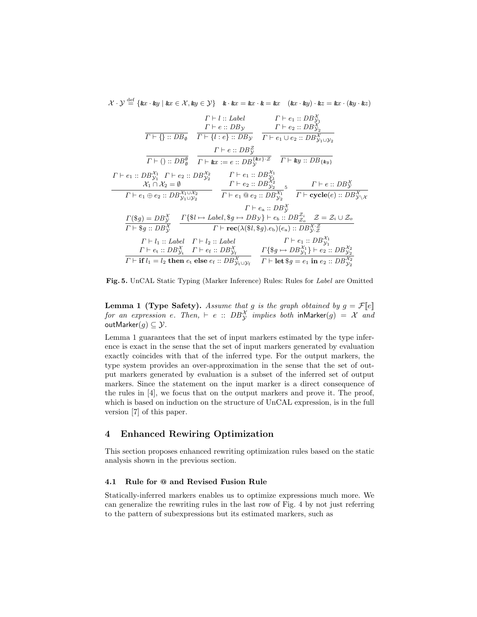$\mathcal{X} \cdot \mathcal{Y} \stackrel{\text{def}}{=} \{ \&x \cdot \&y \mid \&x \in \mathcal{X}, \&y \in \mathcal{Y} \}$   $\&x \cdot \&x = \&x \cdot \&= \&x$   $(\&x \cdot \&y) \cdot \&z = \&x \cdot (\&y \cdot \&z)$ 

$$
\frac{\Gamma \vdash l::Label \qquad \Gamma \vdash e_1::DB_{y_1}^{\chi} \qquad \Gamma \vdash e_2::DB_{y_2}^{\chi} \qquad \Gamma \vdash e_2::DB_{y_2}^{\chi} \qquad \Gamma \vdash e_1::DB_{y_2} \qquad \Gamma \vdash e_2::DB_{y_2}^{\chi} \qquad \Gamma \vdash e_1::DB_{y_2}^{\chi} \qquad \Gamma \vdash e_1::DB_{y_2}^{\chi} \qquad \Gamma \vdash e_2::DB_{y_1 \cup y_2}^{\chi} \qquad \Gamma \vdash e_1::DB_{y_1}^{\chi} \qquad \Gamma \vdash e_2::DB_{y_2}^{\chi} \qquad \Gamma \vdash e_2::DB_{y_2}^{\chi} \qquad \Gamma \vdash e_1::DB_{y_1}^{\chi} \qquad \Gamma \vdash e_2::DB_{y_2}^{\chi} \qquad \Gamma \vdash e_1::DB_{y_2}^{\chi} \qquad \Gamma \vdash e_1::DB_{y_2}^{\chi} \qquad \Gamma \vdash e_1::DB_{y_2}^{\chi} \qquad \Gamma \vdash e_2::DB_{y_2}^{\chi} \qquad \Gamma \vdash e_2::DB_{y_2}^{\chi} \qquad \Gamma \vdash e_2::DB_{y_2}^{\chi} \qquad \Gamma \vdash e_2::DB_{y_2}^{\chi} \qquad \Gamma \vdash e_2::DB_{y_2}^{\chi} \qquad \Gamma \vdash e_2::DB_{y_2}^{\chi} \qquad \Gamma \vdash e_2::DB_{y_2}^{\chi} \qquad \Gamma \vdash e_2::DB_{y_2}^{\chi} \qquad \Gamma \vdash e_2::DB_{y_2}^{\chi} \qquad \Gamma \vdash e_2::DB_{y_2}^{\chi} \qquad \Gamma \vdash e_2::DB_{y_2}^{\chi} \qquad \Gamma \vdash e_2::DB_{y_2}^{\chi} \qquad \Gamma \vdash e_2::DB_{y_2}^{\chi} \qquad \Gamma \vdash e_2::DB_{y_2}^{\chi} \qquad \Gamma \vdash e_2::DB_{y_2}^{\chi} \qquad \Gamma \vdash e_1::DB_{y_2}^{\chi} \qquad \Gamma \vdash e_1::DB_{y_2}^{\chi} \qquad \Gamma \vdash e_1::DB_{y_2}^{\chi} \
$$

**Fig. 5.** UnCAL Static Typing (Marker Inference) Rules: Rules for *Label* are Omitted

**Lemma 1 (Type Safety).** *Assume that g is the graph obtained by*  $g = \mathcal{F}[[e]]$ *for an expression e. Then,*  $\vdash$  *e*  $::$   $DB^{\mathcal{X}}_{\mathcal{Y}}$  *implies both*  $\mathsf{inMarker}(g) = \mathcal{X}$  *and* outMarker $(g) \subseteq Y$ .

Lemma 1 guarantees that the set of input markers estimated by the type inference is exact in the sense that the set of input markers generated by evaluation exactly coincides with that of the inferred type. For the output markers, the type system provides an over-approximation in the sense that the set of output markers generated by evaluation is a subset of the inferred set of output markers. Since the statement on the input marker is a direct consequence of the rules in [4], we focus that on the output markers and prove it. The proof, which is based on induction on the structure of UnCAL expression, is in the full version [7] of this paper.

# **4 Enhanced Rewiring Optimization**

This section proposes enhanced rewriting optimization rules based on the static analysis shown in the previous section.

## **4.1 Rule for @ and Revised Fusion Rule**

Statically-inferred markers enables us to optimize expressions much more. We can generalize the rewriting rules in the last row of Fig. 4 by not just referring to the pattern of subexpressions but its estimated markers, such as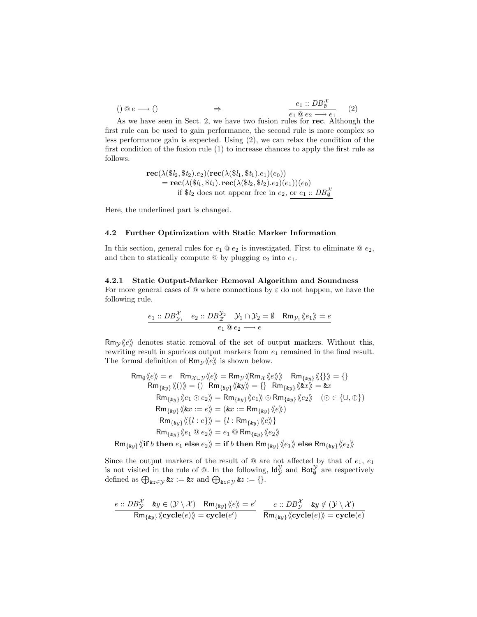$$
\begin{array}{ccc}\n\text{()} \ @ \ e \longrightarrow \text{()} & \Rightarrow & \frac{e_1 \ :: DB_{\emptyset}^{\mathcal{X}}}{e_1 \ @ \ e_2 \longrightarrow e_1} \\
\end{array}\n\tag{2}
$$

As we have seen in Sect. 2, we have two fusion rules for **rec**. Although the first rule can be used to gain performance, the second rule is more complex so less performance gain is expected. Using (2), we can relax the condition of the first condition of the fusion rule (1) to increase chances to apply the first rule as follows.

$$
\mathbf{rec}(\lambda(\$\mathit{l}_2, \$\mathit{t}_2).e_2)(\mathbf{rec}(\lambda(\$\mathit{l}_1, \$\mathit{t}_1).e_1)(e_0))
$$
\n
$$
= \mathbf{rec}(\lambda(\$\mathit{l}_1, \$\mathit{t}_1).\mathbf{rec}(\lambda(\$\mathit{l}_2, \$\mathit{t}_2).e_2)(e_1))(e_0)
$$
\nif \$\mathit{t}\_2\$ does not appear free in \$e\_2\$, or \$e\_1 :: DB\_{\emptyset}^{\mathcal{X}}\$

Here, the underlined part is changed.

## **4.2 Further Optimization with Static Marker Information**

In this section, general rules for  $e_1 \tQ e_2$  is investigated. First to eliminate  $\tQ e_2$ , and then to statically compute  $\circledcirc$  by plugging  $e_2$  into  $e_1$ .

## **4.2.1 Static Output-Marker Removal Algorithm and Soundness**

For more general cases of @ where connections by *ε* do not happen, we have the following rule.

$$
\underbrace{e_1 :: DB_{\mathcal{Y}_1}^{\mathcal{X}} \quad e_2 :: DB_{\mathcal{Z}}^{\mathcal{Y}_2} \quad \mathcal{Y}_1 \cap \mathcal{Y}_2 = \emptyset \quad \mathsf{Rm}_{\mathcal{Y}_1} \langle \langle e_1 \rangle \rangle = e}{e_1 \otimes e_2 \longrightarrow e}
$$

 $Rm_V\langle e \rangle$  denotes static removal of the set of output markers. Without this, rewriting result in spurious output markers from  $e_1$  remained in the final result. The formal definition of  $Rm_y \langle e \rangle$  is shown below.

$$
\mathsf{Rm}_{\emptyset}\langle e \rangle = e \quad \mathsf{Rm}_{\mathcal{X} \cup \mathcal{Y}}\langle e \rangle = \mathsf{Rm}_{\mathcal{Y}}\langle \mathsf{Rm}_{\mathcal{X}}\langle e \rangle \rangle \quad \mathsf{Rm}_{\{ky\}}\langle \{\} \rangle = \{\}
$$
\n
$$
\mathsf{Rm}_{\{ky\}}\langle \langle 0 \rangle \rangle = \langle 0 \quad \mathsf{Rm}_{\{ky\}}\langle \langle ky \rangle \rangle = \{\} \quad \mathsf{Rm}_{\{ky\}}\langle \langle kx \rangle \rangle = \&x
$$
\n
$$
\mathsf{Rm}_{\{ky\}}\langle \langle e_1 \odot e_2 \rangle = \mathsf{Rm}_{\{ky\}}\langle \langle e_1 \rangle \odot \mathsf{Rm}_{\{ky\}}\langle \langle e_2 \rangle \rangle \quad (\odot \in \{\cup, \oplus\})
$$
\n
$$
\mathsf{Rm}_{\{ky\}}\langle \langle kx := e \rangle \rangle = \langle kx := \mathsf{Rm}_{\{ky\}}\langle \langle e \rangle \rangle \}
$$
\n
$$
\mathsf{Rm}_{\{ky\}}\langle \langle \{l : e \} \rangle \rangle = \{l : \mathsf{Rm}_{\{ky\}}\langle \langle e \rangle \rangle \}
$$
\n
$$
\mathsf{Rm}_{\{ky\}}\langle \langle e_1 \odot e_2 \rangle \rangle = e_1 \odot \mathsf{Rm}_{\{ky\}}\langle \langle e_2 \rangle \rangle
$$
\n
$$
\mathsf{Rm}_{\{ky\}}\langle \langle l : e \rangle \rangle = \{l : \mathsf{Rm}_{\{ky\}}\langle \langle e_2 \rangle \rangle
$$
\n
$$
\mathsf{Rm}_{\{ky\}}\langle \langle e_1 \odot e_2 \rangle \rangle = \text{if } b \text{ then } \mathsf{Rm}_{\{ky\}}\langle \langle e_1 \rangle \rangle \text{ else } \mathsf{Rm}_{\{ky\}}\langle \langle e_2 \rangle \rangle
$$

Since the output markers of the result of  $\omega$  are not affected by that of  $e_1, e_1$ is not visited in the rule of  $\mathbb{Q}$ . In the following,  $\mathsf{Id}_{\mathcal{Y}}^{\mathcal{Y}}$  and  $\mathsf{Bot}_{\emptyset}^{\mathcal{Y}}$  are respectively defined as  $\bigoplus_{\mathbf{k}z \in \mathcal{Y}} \mathbf{k}z := \mathbf{k}z$  and  $\bigoplus_{\mathbf{k}z \in \mathcal{Y}} \mathbf{k}z := \{\}.$ 

$$
\frac{e::DB_{\mathcal{Y}}^{\mathcal{X}} \quad \&y \in (\mathcal{Y} \setminus \mathcal{X}) \quad \mathsf{Rm}_{\{ \&y\}} \langle \langle e \rangle \rangle = e'}{\mathsf{Rm}_{\{ \&y\}} \langle \langle \mathbf{cycle}(e) \rangle \rangle = \mathbf{cycle}(e')} \quad \frac{e::DB_{\mathcal{Y}}^{\mathcal{X}} \quad \&y \notin (\mathcal{Y} \setminus \mathcal{X})}{\mathsf{Rm}_{\{ \&y\}} \langle \langle \mathbf{cycle}(e) \rangle \rangle = \mathbf{cycle}(e)}
$$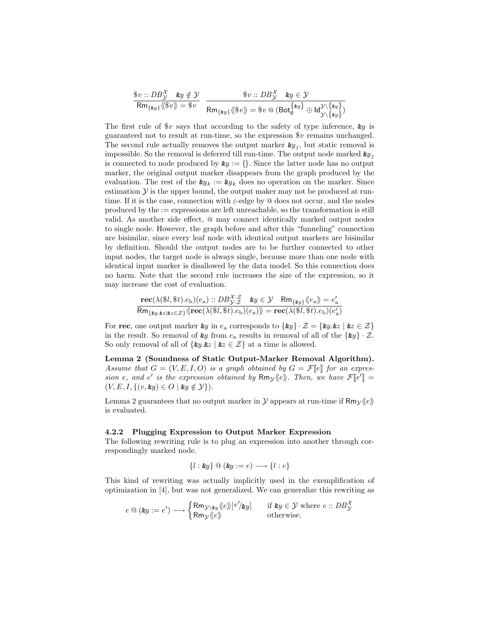$$
\frac{\$v::\textit{DB}_{\mathcal{Y}}^{\mathcal{X}}\ \textit{ky} \notin \mathcal{Y}}{\mathsf{Rm}_{\{\textit{ky}\}}\langle\!\langle \$v \rangle\!\rangle = \$v} \ \ \frac{\$v::\textit{DB}_{\mathcal{Y}}^{\mathcal{X}}\ \textit{ky} \in \mathcal{Y}}{\mathsf{Rm}_{\{\textit{ky}\}}\langle\!\langle \$v \rangle\!\rangle = \$v \circledcirc (\mathsf{Bot}_{\emptyset}^{\{\textit{ky}\}} \oplus \mathsf{Id}_{\mathcal{Y}\setminus \{\textit{ky}\}}^{\mathcal{Y}\setminus \{\textit{ky}\}})}
$$

The first rule of \$*v* says that according to the safety of type inference, &*y* is guaranteed not to result at run-time, so the expression \$*v* remains unchanged. The second rule actually removes the output marker  $\mathbf{ky}_j$ , but static removal is impossible. So the removal is deferred till run-time. The output node marked  $ky_j$ is connected to node produced by  $\mathbf{z}_y := \{\}$ . Since the latter node has no output marker, the original output marker disappears from the graph produced by the evaluation. The rest of the  $\mathbf{g}_{y_k} := \mathbf{g}_{y_k}$  does no operation on the marker. Since estimation  $\mathcal Y$  is the upper bound, the output maker may not be produced at runtime. If it is the case, connection with *ε*-edge by @ does not occur, and the nodes produced by the := expressions are left unreachable, so the transformation is still valid. As another side effect, @ may connect identically marked output nodes to single node. However, the graph before and after this "funneling" connection are bisimilar, since every leaf node with identical output markers are bisimilar by definition. Should the output nodes are to be further connected to other input nodes, the target node is always single, because more than one node with identical input marker is disallowed by the data model. So this connection does no harm. Note that the second rule increases the size of the expression, so it may increase the cost of evaluation.

$$
\frac{\mathbf{rec}(\lambda(\$l,\$t).e_{\mathrm{b}})(e_{\mathrm{a}}) :: DB_{\mathcal{Y} \cdot \mathcal{Z}}^{\mathcal{X} \cdot \mathcal{Z}} \quad \&y \in \mathcal{Y} \quad \mathsf{Rm}_{\{\&y\}} \langle\!\langle e_{\mathrm{a}} \rangle\!\rangle = e_{\mathrm{a}}'}{\mathsf{Rm}_{\{y, y, z \mid z \in \mathcal{Z}\}} \langle\!\langle \mathbf{rec}(\lambda(\$l,\$t).e_{\mathrm{b}})(e_{\mathrm{a}}) \rangle\!\rangle = \mathbf{rec}(\lambda(\$l,\$t).e_{\mathrm{b}})(e_{\mathrm{a}}')}
$$

For **rec**, one output marker  $\&y$  in  $e_a$  corresponds to  $\{\&y\} \cdot \mathcal{Z} = \{\&y.\&z \mid \&z \in \mathcal{Z}\}\$ in the result. So removal of  $\mathbf{\&}y$  from  $e_a$  results in removal of all of the  $\{\mathbf{\&}y\} \cdot \mathcal{Z}$ . So only removal of all of  $\{ky.kz \mid kz \in \mathcal{Z}\}\$  at a time is allowed.

**Lemma 2 (Soundness of Static Output-Marker Removal Algorithm).** *Assume that*  $G = (V, E, I, O)$  *is a graph obtained by*  $G = \mathcal{F}[e]$  *for an expression e*, and *e*<sup>*'*</sup> *is the expression obtained by*  $Rm_y \langle e \rangle$ *. Then, we have*  $\mathcal{F}[e^{\prime}] =$  $(V, E, I, \{(v, \& y) \in O \mid \& y \notin \mathcal{Y}\})$ .

Lemma 2 guarantees that no output marker in  $\mathcal Y$  appears at run-time if  $\mathsf{Rm}_{\mathcal Y}\langle e \rangle$ is evaluated.

## **4.2.2 Plugging Expression to Output Marker Expression**

The following rewriting rule is to plug an expression into another through correspondingly marked node.

*{l* : &*y}* @ (&*y* := *e*) *−→ {l* : *e}*

This kind of rewriting was actually implicitly used in the exemplification of optimization in [4], but was not generalized. We can generalize this rewriting as

$$
e \t\t@ (\text{ky} := e') \longrightarrow \begin{cases} \mathsf{Rm}_{\mathcal{Y} \setminus \mathsf{ky}} \langle e \rangle \!\! \, [ \, e' \rangle \mathsf{ky} \! \, ] & \text{if } \mathsf{ky} \in \mathcal{Y} \text{ where } e :: DB^{\mathcal{X}}_{\mathcal{Y}} \\ \mathsf{Rm}_{\mathcal{Y}} \langle \! \langle e \rangle \!\! \rangle & \text{otherwise.} \end{cases}
$$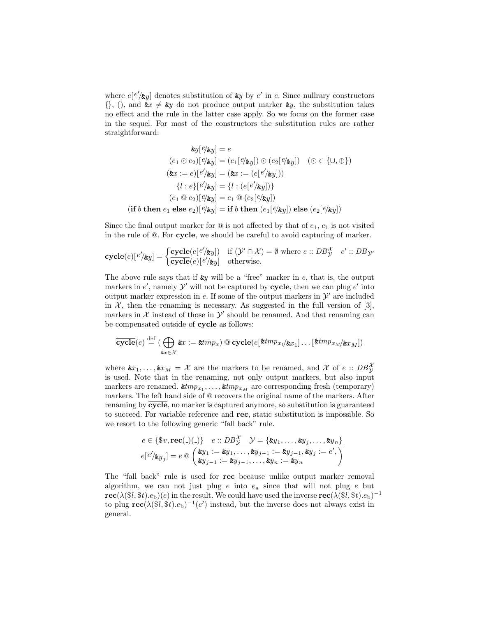where  $e[e'_{\alpha y}]$  denotes substitution of  $\alpha y$  by  $e'$  in  $e$ . Since nullrary constructors  $\{\},$  (), and  $\&x \neq \&y$  do not produce output marker  $\&y$ , the substitution takes no effect and the rule in the latter case apply. So we focus on the former case in the sequel. For most of the constructors the substitution rules are rather straightforward:

$$
\mathbf{w}[e/\mathbf{w}y] = e
$$
  
\n
$$
(e_1 \odot e_2)[e/\mathbf{w}y] = (e_1[e/\mathbf{w}y]) \odot (e_2[e/\mathbf{w}y]) \quad (\odot \in \{\cup, \oplus\})
$$
  
\n
$$
(\mathbf{w}x := e)[e'/\mathbf{w}y] = (\mathbf{w}x := (e[e'/\mathbf{w}y]))
$$
  
\n
$$
\{l : e\}[e'/\mathbf{w}y] = \{l : (e[e'/\mathbf{w}y])\}
$$
  
\n
$$
(e_1 \odot e_2)[e/\mathbf{w}y] = e_1 \odot (e_2[e/\mathbf{w}y])
$$
  
\n
$$
(if b then e_1 else e_2)[e/\mathbf{w}y] = if b then (e_1[e/\mathbf{w}y]) else (e_2[e/\mathbf{w}y])
$$

Since the final output marker for  $\circledcirc$  is not affected by that of  $e_1, e_1$  is not visited in the rule of @. For **cycle**, we should be careful to avoid capturing of marker.

$$
\mathbf{cycle}(e)[e'/\mathbf{ky}]=\begin{cases}\frac{\mathbf{cycle}(e[e'/\mathbf{ky}])}{\mathbf{cycle}(e)[e'/\mathbf{ky}]} & \text{if } (\mathcal{Y}' \cap \mathcal{X})=\emptyset \text{ where } e::DB_{\mathcal{Y}}^{\mathcal{X}} & e'::DB_{\mathcal{Y}'}\end{cases}
$$

The above rule says that if &*y* will be a "free" marker in *e*, that is, the output markers in  $e'$ , namely  $\mathcal{Y}'$  will not be captured by **cycle**, then we can plug  $e'$  into output marker expression in  $e$ . If some of the output markers in  $\mathcal{Y}'$  are included in  $\mathcal{X}$ , then the renaming is necessary. As suggested in the full version of [3], markers in  $X$  instead of those in  $Y'$  should be renamed. And that renaming can be compensated outside of **cycle** as follows:

$$
\overline{\mathbf{cycle}}(e) \stackrel{\mathrm{def}}{=} (\bigoplus_{\mathtt{k} x \in \mathcal{X}} \mathtt{k} x := \mathtt{k} t m p_x) \, \textcircled{c} \mathbf{cycle}(e[\mathtt{k} t m p_{x_1} / \mathtt{k} x_1] \dots [\mathtt{k} t m p_{x_M} / \mathtt{k} x_M])
$$

where  $\&x_1, \ldots, \&x_M = \mathcal{X}$  are the markers to be renamed, and  $\mathcal{X}$  of  $e :: DB_{\mathcal{Y}}^{\mathcal{X}}$ is used. Note that in the renaming, not only output markers, but also input markers are renamed.  $\text{#tmp}_{x_1}, \ldots, \text{#tmp}_{x_M}$  are corresponding fresh (temporary) markers. The left hand side of @ recovers the original name of the markers. After renaming by **cycle**, no marker is captured anymore, so substitution is guaranteed to succeed. For variable reference and **rec**, static substitution is impossible. So we resort to the following generic "fall back" rule.

$$
\frac{e \in \{\$v, \mathbf{rec}(\_)(\_) \} \quad e::DB^{\mathcal{X}}_{\mathcal{Y}} \quad \mathcal{Y} = \{\&y_1, \dots, \&y_j, \dots, \&y_n\}}{e[e'/\&y_j] = e \circledast \begin{pmatrix} \&y_1 := \&y_1, \dots, \&y_{j-1} := \&y_{j-1}, \&y_j := e', \\ \&y_{j-1} := \&y_{j-1}, \dots, \&y_n := \&y_n \end{pmatrix}}
$$

The "fall back" rule is used for **rec** because unlike output marker removal algorithm, we can not just plug *e* into *e*<sup>a</sup> since that will not plug *e* but **rec**( $\lambda$ (\$*l*, \$*t*)*.e*<sub>b</sub>)(*e*) in the result. We could have used the inverse  $\text{rec}(\lambda$ (\$*l*, \$*t*)*.e*<sub>b</sub>)<sup>-1</sup> to plug  $\text{rec}(\lambda(\$l, \$t).e_b)^{-1}(e')$  instead, but the inverse does not always exist in general.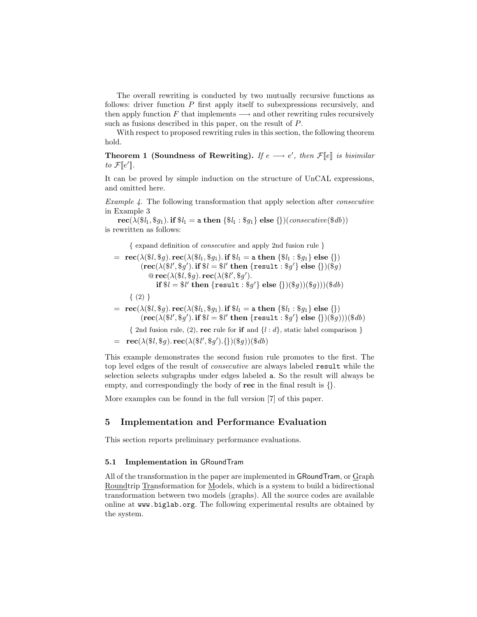The overall rewriting is conducted by two mutually recursive functions as follows: driver function *P* first apply itself to subexpressions recursively, and then apply function *F* that implements *−→* and other rewriting rules recursively such as fusions described in this paper, on the result of *P*.

With respect to proposed rewriting rules in this section, the following theorem hold.

**Theorem 1 (Soundness of Rewriting).** *If*  $e \rightarrow e'$ , then  $\mathcal{F}[e]$  *is bisimilar*  $to \mathcal{F}[e']$ .

It can be proved by simple induction on the structure of UnCAL expressions, and omitted here.

*Example 4.* The following transformation that apply selection after *consecutive* in Example 3

 ${\bf rec}(\lambda(\$l_1, \$q_1)$ *.* **if**  $\$l_1 = {\bf a}$  **then**  $\{\$l_1 : \$q_1\}$  **else**  $\{\})(\text{consecutive}(\$db))$ is rewritten as follows:

*{* expand definition of *consecutive* and apply 2nd fusion rule *}*

 $=$  **rec**( $\lambda$ ( $\$(l, \$g)$ )*.* **rec**( $\lambda$ ( $\$(l_1, \$g_1)$ *.* **if**  $\$(l_1 = \texttt{a} \text{ then } \{\$l_1 : \$g_1\} \text{ else } \{\})$  $(\text{rec}(\lambda(\$l', \$g')). \text{if } \$l = \$l' \text{ then } \{\text{result} : \$g'\} \text{ else } {\})(\$g)$  $\mathbb{Q}$  **rec**( $\lambda$ ( $\$\mathcal{I}$ ),  $\mathbb{R}$ **ec**( $\lambda$ ( $\$\mathcal{I}'$ ),  $\$\mathcal{g}'$ ).  $\textbf{if } \$l = \$l' \textbf{ then } \{\texttt{result} : \$g'\} \textbf{ else } {\{})(\$g))({\$g)}{)}({\$db}$ 

*{* (2) *}*

 $=$  **rec**( $\lambda$ ( $\$l, \$g$ )*.* **rec**( $\lambda$ ( $\$l_1, \$g_1$ )*.* **if**  $\$l_1 =$  a **then**  $\{\$l_1 : \$g_1\}$  **else**  $\{\}\$  $(\textbf{rec}(\lambda(\$l', \$g')). \textbf{if } \$l = \$l' \textbf{ then } \{\textbf{result} : \$g'\} \textbf{ else } {\{})(\$g)))(\$db)$ 

*{* 2nd fusion rule, (2), **rec** rule for **if** and *{l* : *d}*, static label comparison *}*

 $=$ **rec**( $\lambda$ ( $\frac{1}{6}$ ,  $\frac{1}{6}$ *g*)*.***rec**( $\lambda$ ( $\frac{1}{6}$ ,  $\frac{1}{6}$ *g*)( $\frac{1}{6}$ *g*)( $\frac{1}{6}$ *db*)

This example demonstrates the second fusion rule promotes to the first. The top level edges of the result of *consecutive* are always labeled result while the selection selects subgraphs under edges labeled a. So the result will always be empty, and correspondingly the body of **rec** in the final result is *{}*.

More examples can be found in the full version [7] of this paper.

# **5 Implementation and Performance Evaluation**

This section reports preliminary performance evaluations.

## **5.1 Implementation in** GRoundTram

All of the transformation in the paper are implemented in GRoundTram, or Graph Roundtrip Transformation for Models, which is a system to build a bidirectional transformation between two models (graphs). All the source codes are available online at www.biglab.org. The following experimental results are obtained by the system.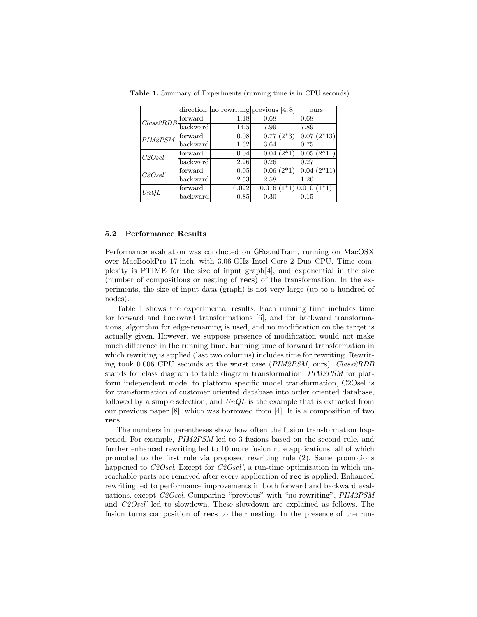|             | direction         |       | no rewriting previous $[4, 8]$ | ours         |
|-------------|-------------------|-------|--------------------------------|--------------|
| Class 2 RDB | forward           | 1.18  | 0.68                           | 0.68         |
|             | backward          | 14.5  | 7.99                           | 7.89         |
| PIM2PSM     | forward           | 0.08  | $0.77(2*3)$                    | $0.07(2*13)$ |
|             | backward          | 1.62  | 3.64                           | 0.75         |
| C2Osel      | forward           | 0.04  | $0.04(2*1)$                    | $0.05(2*11)$ |
|             | $\text{backward}$ | 2.26  | 0.26                           | 0.27         |
| C2Osel'     | forward           | 0.05  | $0.06(2*1)$                    | $0.04(2*11)$ |
|             | backward          | 2.53  | 2.58                           | 1.26         |
| UnQL        | forward           | 0.022 | $0.016(1*1)$ 0.010 $(1*1)$     |              |
|             | backward          | 0.85  | 0.30                           | 0.15         |

**Table 1.** Summary of Experiments (running time is in CPU seconds)

## **5.2 Performance Results**

Performance evaluation was conducted on GRoundTram, running on MacOSX over MacBookPro 17 inch, with 3.06 GHz Intel Core 2 Duo CPU. Time complexity is PTIME for the size of input graph[4], and exponential in the size (number of compositions or nesting of **rec**s) of the transformation. In the experiments, the size of input data (graph) is not very large (up to a hundred of nodes).

Table 1 shows the experimental results. Each running time includes time for forward and backward transformations [6], and for backward transformations, algorithm for edge-renaming is used, and no modification on the target is actually given. However, we suppose presence of modification would not make much difference in the running time. Running time of forward transformation in which rewriting is applied (last two columns) includes time for rewriting. Rewriting took 0.006 CPU seconds at the worst case (*PIM2PSM*, ours). *Class2RDB* stands for class diagram to table diagram transformation, *PIM2PSM* for platform independent model to platform specific model transformation, C2Osel is for transformation of customer oriented database into order oriented database, followed by a simple selection, and *UnQL* is the example that is extracted from our previous paper [8], which was borrowed from [4]. It is a composition of two **rec**s.

The numbers in parentheses show how often the fusion transformation happened. For example, *PIM2PSM* led to 3 fusions based on the second rule, and further enhanced rewriting led to 10 more fusion rule applications, all of which promoted to the first rule via proposed rewriting rule (2). Same promotions happened to *C2Osel*. Except for *C2Osel'*, a run-time optimization in which unreachable parts are removed after every application of **rec** is applied. Enhanced rewriting led to performance improvements in both forward and backward evaluations, except *C2Osel*. Comparing "previous" with "no rewriting", *PIM2PSM* and *C2Osel'* led to slowdown. These slowdown are explained as follows. The fusion turns composition of **rec**s to their nesting. In the presence of the run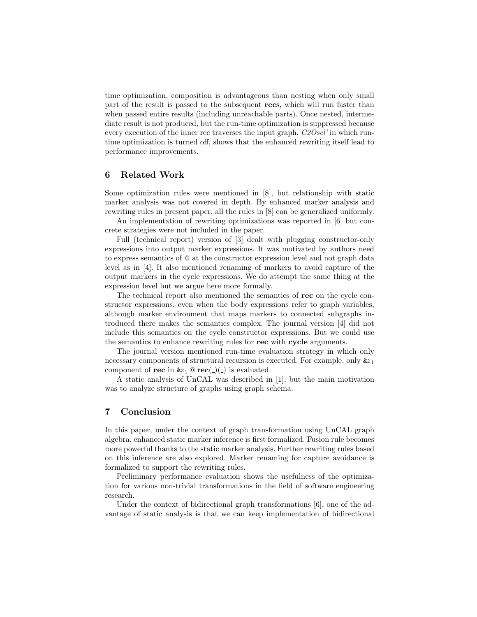time optimization, composition is advantageous than nesting when only small part of the result is passed to the subsequent **rec**s, which will run faster than when passed entire results (including unreachable parts). Once nested, intermediate result is not produced, but the run-time optimization is suppressed because every execution of the inner rec traverses the input graph. *C2Osel'* in which runtime optimization is turned off, shows that the enhanced rewriting itself lead to performance improvements.

# **6 Related Work**

Some optimization rules were mentioned in [8], but relationship with static marker analysis was not covered in depth. By enhanced marker analysis and rewriting rules in present paper, all the rules in [8] can be generalized uniformly.

An implementation of rewriting optimizations was reported in [6] but concrete strategies were not included in the paper.

Full (technical report) version of [3] dealt with plugging constructor-only expressions into output marker expressions. It was motivated by authors need to express semantics of @ at the constructor expression level and not graph data level as in [4]. It also mentioned renaming of markers to avoid capture of the output markers in the cycle expressions. We do attempt the same thing at the expression level but we argue here more formally.

The technical report also mentioned the semantics of **rec** on the cycle constructor expressions, even when the body expressions refer to graph variables, although marker environment that maps markers to connected subgraphs introduced there makes the semantics complex. The journal version [4] did not include this semantics on the cycle constructor expressions. But we could use the semantics to enhance rewriting rules for **rec** with **cycle** arguments.

The journal version mentioned run-time evaluation strategy in which only necessary components of structural recursion is executed. For example, only  $\&z_1$ component of **rec** in  $\&z_1 \otimes \text{rec}(\_)(\_)$  is evaluated.

A static analysis of UnCAL was described in [1], but the main motivation was to analyze structure of graphs using graph schema.

# **7 Conclusion**

In this paper, under the context of graph transformation using UnCAL graph algebra, enhanced static marker inference is first formalized. Fusion rule becomes more powerful thanks to the static marker analysis. Further rewriting rules based on this inference are also explored. Marker renaming for capture avoidance is formalized to support the rewriting rules.

Preliminary performance evaluation shows the usefulness of the optimization for various non-trivial transformations in the field of software engineering research.

Under the context of bidirectional graph transformations [6], one of the advantage of static analysis is that we can keep implementation of bidirectional